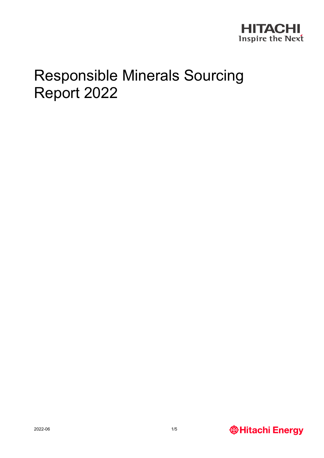

# Responsible Minerals Sourcing Report 2022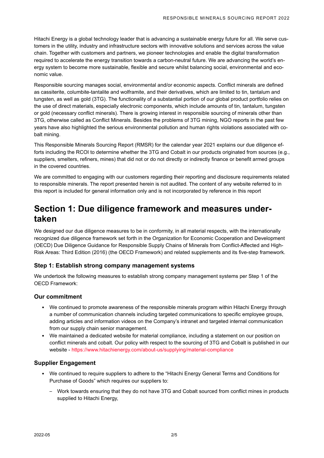Hitachi Energy is a global technology leader that is advancing a sustainable energy future for all. We serve customers in the utility, industry and infrastructure sectors with innovative solutions and services across the value chain. Together with customers and partners, we pioneer technologies and enable the digital transformation required to accelerate the energy transition towards a carbon-neutral future. We are advancing the world's energy system to become more sustainable, flexible and secure whilst balancing social, environmental and economic value.

Responsible sourcing manages social, environmental and/or economic aspects. Conflict minerals are defined as cassiterite, columbite-tantalite and wolframite, and their derivatives, which are limited to tin, tantalum and tungsten, as well as gold (3TG). The functionality of a substantial portion of our global product portfolio relies on the use of direct materials, especially electronic components, which include amounts of tin, tantalum, tungsten or gold (necessary conflict minerals). There is growing interest in responsible sourcing of minerals other than 3TG, otherwise called as Conflict Minerals. Besides the problems of 3TG mining, NGO reports in the past few years have also highlighted the serious environmental pollution and human rights violations associated with cobalt mining.

This Responsible Minerals Sourcing Report (RMSR) for the calendar year 2021 explains our due diligence efforts including the RCOI to determine whether the 3TG and Cobalt in our products originated from sources (e.g., suppliers, smelters, refiners, mines) that did not or do not directly or indirectly finance or benefit armed groups in the covered countries.

We are committed to engaging with our customers regarding their reporting and disclosure requirements related to responsible minerals. The report presented herein is not audited. The content of any website referred to in this report is included for general information only and is not incorporated by reference in this report

## **Section 1: Due diligence framework and measures undertaken**

We designed our due diligence measures to be in conformity, in all material respects, with the internationally recognized due diligence framework set forth in the Organization for Economic Cooperation and Development (OECD) Due Diligence Guidance for Responsible Supply Chains of Minerals from Conflict-Affected and High-Risk Areas: Third Edition (2016) (the OECD Framework) and related supplements and its five-step framework.

## **Step 1: Establish strong company management systems**

We undertook the following measures to establish strong company management systems per Step 1 of the OECD Framework:

#### **Our commitment**

- We continued to promote awareness of the responsible minerals program within Hitachi Energy through a number of communication channels including targeted communications to specific employee groups, adding articles and information videos on the Company's intranet and targeted internal communication from our supply chain senior management.
- We maintained a dedicated website for material compliance, including a statement on our position on conflict minerals and cobalt. Our policy with respect to the sourcing of 3TG and Cobalt is published in our website - <https://www.hitachienergy.com/about-us/supplying/material-compliance>

#### **Supplier Engagement**

- We continued to require suppliers to adhere to the "Hitachi Energy General Terms and Conditions for Purchase of Goods" which requires our suppliers to:
	- Work towards ensuring that they do not have 3TG and Cobalt sourced from conflict mines in products supplied to Hitachi Energy,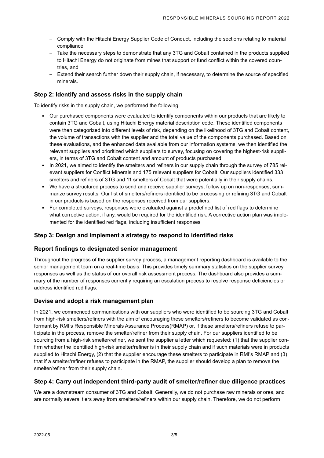- Comply with the Hitachi Energy Supplier Code of Conduct, including the sections relating to material compliance,
- Take the necessary steps to demonstrate that any 3TG and Cobalt contained in the products supplied to Hitachi Energy do not originate from mines that support or fund conflict within the covered countries, and
- Extend their search further down their supply chain, if necessary, to determine the source of specified minerals.

### **Step 2: Identify and assess risks in the supply chain**

To identify risks in the supply chain, we performed the following:

- Our purchased components were evaluated to identify components within our products that are likely to contain 3TG and Cobalt, using Hitachi Energy material description code. These identified components were then categorized into different levels of risk, depending on the likelihood of 3TG and Cobalt content, the volume of transactions with the supplier and the total value of the components purchased. Based on these evaluations, and the enhanced data available from our information systems, we then identified the relevant suppliers and prioritized which suppliers to survey, focusing on covering the highest-risk suppliers, in terms of 3TG and Cobalt content and amount of products purchased.
- In 2021, we aimed to identify the smelters and refiners in our supply chain through the survey of 785 relevant suppliers for Conflict Minerals and 175 relevant suppliers for Cobalt. Our suppliers identified 333 smelters and refiners of 3TG and 11 smelters of Cobalt that were potentially in their supply chains.
- We have a structured process to send and receive supplier surveys, follow up on non-responses, summarize survey results. Our list of smelters/refiners identified to be processing or refining 3TG and Cobalt in our products is based on the responses received from our suppliers.
- For completed surveys, responses were evaluated against a predefined list of red flags to determine what corrective action, if any, would be required for the identified risk. A corrective action plan was implemented for the identified red flags, including insufficient responses

## **Step 3: Design and implement a strategy to respond to identified risks**

#### **Report findings to designated senior management**

Throughout the progress of the supplier survey process, a management reporting dashboard is available to the senior management team on a real-time basis. This provides timely summary statistics on the supplier survey responses as well as the status of our overall risk assessment process. The dashboard also provides a summary of the number of responses currently requiring an escalation process to resolve response deficiencies or address identified red flags.

#### **Devise and adopt a risk management plan**

In 2021, we commenced communications with our suppliers who were identified to be sourcing 3TG and Cobalt from high-risk smelters/refiners with the aim of encouraging these smelters/refiners to become validated as conformant by RMI's Responsible Minerals Assurance Process(RMAP) or, if these smelters/refiners refuse to participate in the process, remove the smelter/refiner from their supply chain. For our suppliers identified to be sourcing from a high-risk smelter/refiner, we sent the supplier a letter which requested: (1) that the supplier confirm whether the identified high-risk smelter/refiner is in their supply chain and if such materials were in products supplied to Hitachi Energy, (2) that the supplier encourage these smelters to participate in RMI's RMAP and (3) that if a smelter/refiner refuses to participate in the RMAP, the supplier should develop a plan to remove the smelter/refiner from their supply chain.

#### **Step 4: Carry out independent third-party audit of smelter/refiner due diligence practices**

We are a downstream consumer of 3TG and Cobalt. Generally, we do not purchase raw minerals or ores, and are normally several tiers away from smelters/refiners within our supply chain. Therefore, we do not perform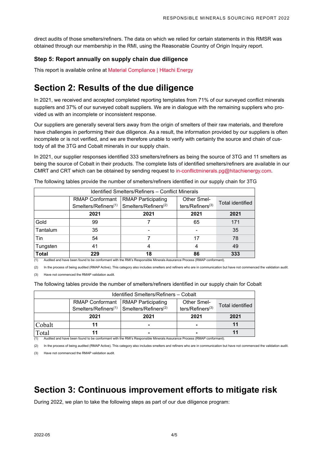direct audits of those smelters/refiners. The data on which we relied for certain statements in this RMSR was obtained through our membership in the RMI, using the Reasonable Country of Origin Inquiry report.

## **Step 5: Report annually on supply chain due diligence**

This report is available online at [Material Compliance | Hitachi Energy](https://www.hitachienergy.com/about-us/supplying/material-compliance)

# **Section 2: Results of the due diligence**

In 2021, we received and accepted completed reporting templates from 71% of our surveyed conflict minerals suppliers and 37% of our surveyed cobalt suppliers. We are in dialogue with the remaining suppliers who provided us with an incomplete or inconsistent response.

Our suppliers are generally several tiers away from the origin of smelters of their raw materials, and therefore have challenges in performing their due diligence. As a result, the information provided by our suppliers is often incomplete or is not verified, and we are therefore unable to verify with certainty the source and chain of custody of all the 3TG and Cobalt minerals in our supply chain.

In 2021, our supplier responses identified 333 smelters/refiners as being the source of 3TG and 11 smelters as being the source of Cobalt in their products. The complete lists of identified smelters/refiners are available in our CMRT and CRT which can be obtained by sending request to in-conflictminerals.pg@hitachienergy.com.

| Identified Smelters/Refiners - Conflict Minerals |                                                            |                                                               |                                       |                         |  |
|--------------------------------------------------|------------------------------------------------------------|---------------------------------------------------------------|---------------------------------------|-------------------------|--|
|                                                  | <b>RMAP Conformant</b><br>Smelters/Refiners <sup>(1)</sup> | <b>RMAP Participating</b><br>Smelters/Refiners <sup>(2)</sup> | Other Smel-<br>ters/ $Refiners^{(3)}$ | <b>Total identified</b> |  |
|                                                  | 2021                                                       | 2021                                                          | 2021                                  | 2021                    |  |
| Gold                                             | 99                                                         |                                                               | 65                                    | 171                     |  |
| Tantalum                                         | 35                                                         |                                                               |                                       | 35                      |  |
| Tin                                              | 54                                                         |                                                               | 17                                    | 78                      |  |
| Tungsten                                         | 41                                                         | 4                                                             | 4                                     | 49                      |  |
| <b>Total</b>                                     | 229                                                        | 18                                                            | 86                                    | 333                     |  |

The following tables provide the number of smelters/refiners identified in our supply chain for 3TG

(1) Audited and have been found to be conformant with the RMI's Responsible Minerals Assurance Process (RMAP conformant).

(2) In the process of being audited (RMAP Active). This category also includes smelters and refiners who are in communication but have not commenced the validation audit

(3) Have not commenced the RMAP validation audit.

The following tables provide the number of smelters/refiners identified in our supply chain for Cobalt

| Identified Smelters/Refiners - Cobalt |                                  |                                              |                        |                  |  |  |
|---------------------------------------|----------------------------------|----------------------------------------------|------------------------|------------------|--|--|
|                                       |                                  | RMAP Conformant   RMAP Participating         | Other Smel-            | Total identified |  |  |
|                                       | Smelters/Refiners <sup>(1)</sup> | $\mathsf{S}$ melters/Refiners <sup>(2)</sup> | ters/ $Refiners^{(3)}$ |                  |  |  |
|                                       | 2021                             | 2021                                         | 2021                   | 2021             |  |  |
| Cobalt                                | 11                               |                                              | $\blacksquare$         | 11               |  |  |
| Total                                 |                                  |                                              |                        | 11               |  |  |

(1) Audited and have been found to be conformant with the RMI's Responsible Minerals Assurance Process (RMAP conformant).

(2) In the process of being audited (RMAP Active). This category also includes smelters and refiners who are in communication but have not commenced the validation audit.

(3) Have not commenced the RMAP validation audit.

# **Section 3: Continuous improvement efforts to mitigate risk**

During 2022, we plan to take the following steps as part of our due diligence program: